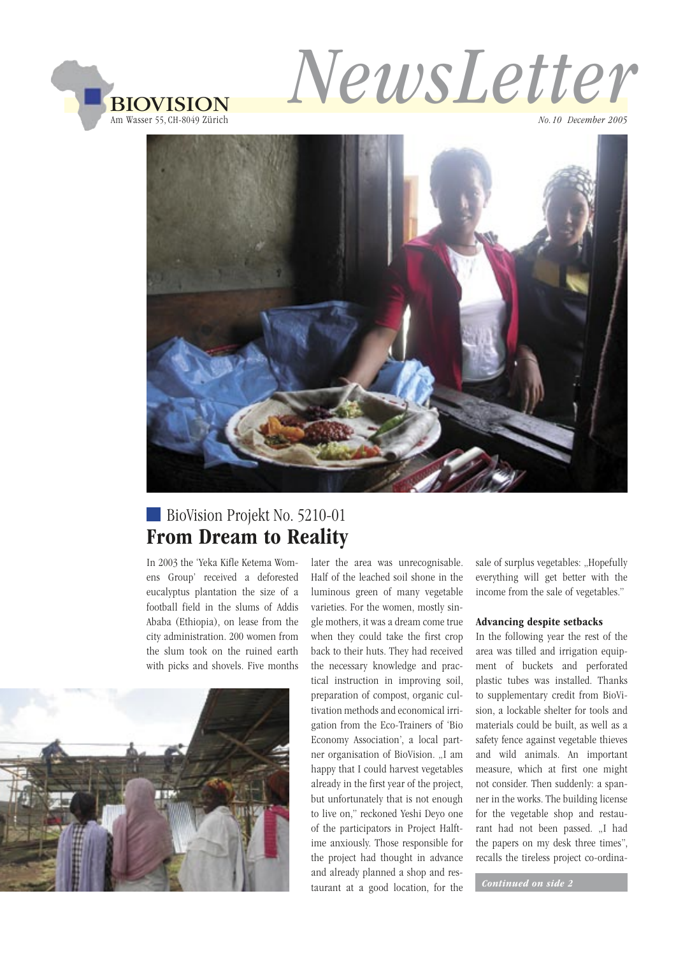



*No.10 December 2005*



# BioVision Projekt No. 5210-01 From Dream to Reality

In 2003 the 'Yeka Kifle Ketema Womens Group' received a deforested eucalyptus plantation the size of a football field in the slums of Addis Ababa (Ethiopia), on lease from the city administration. 200 women from the slum took on the ruined earth with picks and shovels. Five months



later the area was unrecognisable. Half of the leached soil shone in the luminous green of many vegetable varieties. For the women, mostly single mothers, it was a dream come true when they could take the first crop back to their huts. They had received the necessary knowledge and practical instruction in improving soil, preparation of compost, organic cultivation methods and economical irrigation from the Eco-Trainers of 'Bio Economy Association', a local partner organisation of BioVision. "I am happy that I could harvest vegetables already in the first year of the project, but unfortunately that is not enough to live on," reckoned Yeshi Deyo one of the participators in Project Halftime anxiously. Those responsible for the project had thought in advance and already planned a shop and restaurant at a good location, for the *Continued on side 2*

sale of surplus vegetables: "Hopefully everything will get better with the income from the sale of vegetables."

#### Advancing despite setbacks

In the following year the rest of the area was tilled and irrigation equipment of buckets and perforated plastic tubes was installed. Thanks to supplementary credit from BioVision, a lockable shelter for tools and materials could be built, as well as a safety fence against vegetable thieves and wild animals. An important measure, which at first one might not consider. Then suddenly: a spanner in the works. The building license for the vegetable shop and restaurant had not been passed. ..I had the papers on my desk three times", recalls the tireless project co-ordina-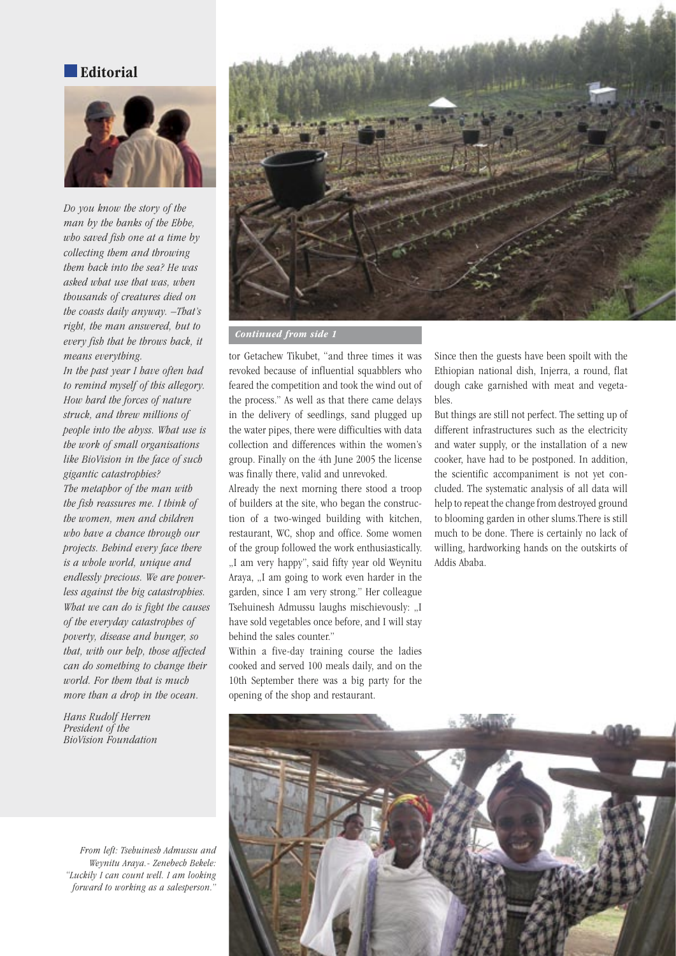#### Editorial



*Do you know the story of the man by the banks of the Ebbe, who saved fish one at a time by collecting them and throwing them back into the sea? He was asked what use that was, when thousands of creatures died on the coasts daily anyway. –That's right, the man answered, but to every fish that he throws back, it means everything.*

*In the past year I have often had to remind myself of this allegory. How hard the forces of nature struck, and threw millions of people into the abyss. What use is the work of small organisations like BioVision in the face of such gigantic catastrophies? The metaphor of the man with the fish reassures me. I think of the women, men and children who have a chance through our projects. Behind every face there is a whole world, unique and endlessly precious. We are powerless against the big catastrophies. What we can do is fight the causes of the everyday catastrophes of poverty, disease and hunger, so that, with our help, those affected can do something to change their world. For them that is much more than a drop in the ocean.*

*Hans Rudolf Herren President of the BioVision Foundation*

*From left: Tsehuinesh Admussu and Weynitu Araya.- Zenebech Bekele: "Luckily I can count well. I am looking forward to working as a salesperson."*



 *Continued from side 1*

tor Getachew Tikubet, "and three times it was revoked because of influential squabblers who feared the competition and took the wind out of the process." As well as that there came delays in the delivery of seedlings, sand plugged up the water pipes, there were difficulties with data collection and differences within the women's group. Finally on the 4th June 2005 the license was finally there, valid and unrevoked.

Already the next morning there stood a troop of builders at the site, who began the construction of a two-winged building with kitchen, restaurant, WC, shop and office. Some women of the group followed the work enthusiastically. "I am very happy", said fifty year old Weynitu Araya, "I am going to work even harder in the garden, since I am very strong." Her colleague Tsehuinesh Admussu laughs mischievously: "I have sold vegetables once before, and I will stay behind the sales counter."

Within a five-day training course the ladies cooked and served 100 meals daily, and on the 10th September there was a big party for the opening of the shop and restaurant.

Since then the guests have been spoilt with the Ethiopian national dish, Injerra, a round, flat dough cake garnished with meat and vegetables.

But things are still not perfect. The setting up of different infrastructures such as the electricity and water supply, or the installation of a new cooker, have had to be postponed. In addition, the scientific accompaniment is not yet concluded. The systematic analysis of all data will help to repeat the change from destroyed ground to blooming garden in other slums.There is still much to be done. There is certainly no lack of willing, hardworking hands on the outskirts of Addis Ababa.

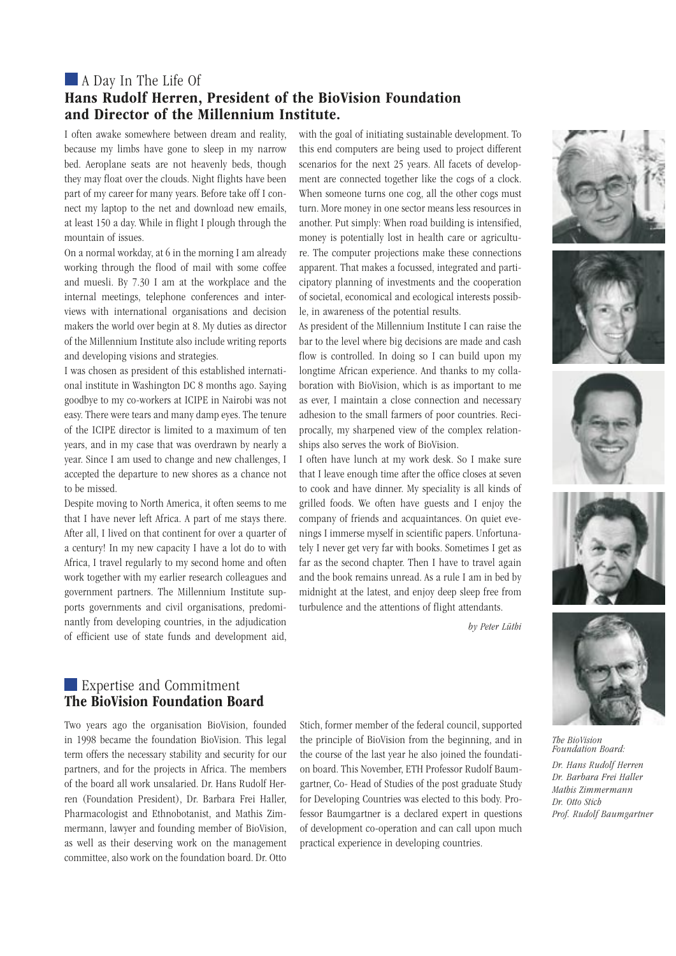### A Day In The Life Of Hans Rudolf Herren, President of the BioVision Foundation and Director of the Millennium Institute.

I often awake somewhere between dream and reality, because my limbs have gone to sleep in my narrow bed. Aeroplane seats are not heavenly beds, though they may float over the clouds. Night flights have been part of my career for many years. Before take off I connect my laptop to the net and download new emails, at least 150 a day. While in flight I plough through the mountain of issues.

On a normal workday, at 6 in the morning I am already working through the flood of mail with some coffee and muesli. By 7.30 I am at the workplace and the internal meetings, telephone conferences and interviews with international organisations and decision makers the world over begin at 8. My duties as director of the Millennium Institute also include writing reports and developing visions and strategies.

I was chosen as president of this established international institute in Washington DC 8 months ago. Saying goodbye to my co-workers at ICIPE in Nairobi was not easy. There were tears and many damp eyes. The tenure of the ICIPE director is limited to a maximum of ten years, and in my case that was overdrawn by nearly a year. Since I am used to change and new challenges, I accepted the departure to new shores as a chance not to be missed.

Despite moving to North America, it often seems to me that I have never left Africa. A part of me stays there. After all, I lived on that continent for over a quarter of a century! In my new capacity I have a lot do to with Africa, I travel regularly to my second home and often work together with my earlier research colleagues and government partners. The Millennium Institute supports governments and civil organisations, predominantly from developing countries, in the adjudication of efficient use of state funds and development aid,

with the goal of initiating sustainable development. To this end computers are being used to project different scenarios for the next 25 years. All facets of development are connected together like the cogs of a clock. When someone turns one cog, all the other cogs must turn. More money in one sector means less resources in another. Put simply: When road building is intensified, money is potentially lost in health care or agriculture. The computer projections make these connections apparent. That makes a focussed, integrated and participatory planning of investments and the cooperation of societal, economical and ecological interests possible, in awareness of the potential results.

As president of the Millennium Institute I can raise the bar to the level where big decisions are made and cash flow is controlled. In doing so I can build upon my longtime African experience. And thanks to my collaboration with BioVision, which is as important to me as ever, I maintain a close connection and necessary adhesion to the small farmers of poor countries. Reciprocally, my sharpened view of the complex relationships also serves the work of BioVision.

I often have lunch at my work desk. So I make sure that I leave enough time after the office closes at seven to cook and have dinner. My speciality is all kinds of grilled foods. We often have guests and I enjoy the company of friends and acquaintances. On quiet evenings I immerse myself in scientific papers. Unfortunately I never get very far with books. Sometimes I get as far as the second chapter. Then I have to travel again and the book remains unread. As a rule I am in bed by midnight at the latest, and enjoy deep sleep free from turbulence and the attentions of flight attendants.

*by Peter Lüthi*











*The BioVision Foundation Board: Dr. Hans Rudolf Herren Dr. Barbara Frei Haller Mathis Zimmermann Dr. Otto Stich Prof. Rudolf Baumgartner*

#### Expertise and Commitment The BioVision Foundation Board

Two years ago the organisation BioVision, founded in 1998 became the foundation BioVision. This legal term offers the necessary stability and security for our partners, and for the projects in Africa. The members of the board all work unsalaried. Dr. Hans Rudolf Herren (Foundation President), Dr. Barbara Frei Haller, Pharmacologist and Ethnobotanist, and Mathis Zimmermann, lawyer and founding member of BioVision, as well as their deserving work on the management committee, also work on the foundation board. Dr. Otto

Stich, former member of the federal council, supported the principle of BioVision from the beginning, and in the course of the last year he also joined the foundation board. This November, ETH Professor Rudolf Baumgartner, Co- Head of Studies of the post graduate Study for Developing Countries was elected to this body. Professor Baumgartner is a declared expert in questions of development co-operation and can call upon much practical experience in developing countries.